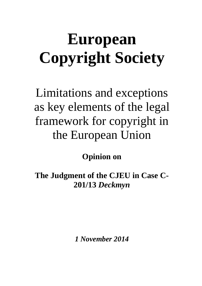# **European Copyright Society**

Limitations and exceptions as key elements of the legal framework for copyright in the European Union

**Opinion on**

**The Judgment of the CJEU in Case C-201/13** *Deckmyn*

*1 November 2014*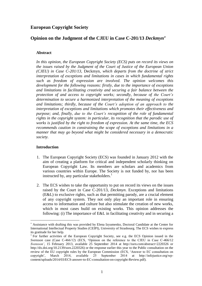# **European Copyright Society**

# **Opinion on the Judgment of the CJEU in Case C-201/13** *Deckmyn*

## **Abstract**

In this opinion, the European Copyright Society (ECS) puts on record its views on *the issues raised by the Judgment of the Court of Justice of the European Union (CJEU) in Case C-201/13,* [Deckmyn](http://curia.europa.eu/juris/liste.jsf?pro=&nat=or&oqp=&dates=&lg=&language=en&jur=C%2CT%2CF&cit=none%2CC%2CCJ%2CR%2C2008E%2C%2C%2C%2C%2C%2C%2C%2C%2C%2Ctrue%2Cfalse%2Cfalse&num=C-201%2F13&td=%3BALL&pcs=Oor&avg=&page=1&mat=or&jge=&for=&cid=31085)*, which departs from the doctrine of strict interpretation of exceptions and limitations in cases in which fundamental rights such as freedom of expression are involved. The opinion welcomes this development for the following reasons: firstly, due to the importance of exceptions and limitations in facilitating creativity and securing a fair balance between the protection of and access to copyright works; secondly, because of the Court's determination to secure a harmonized interpretation of the meaning of exceptions and limitations; thirdly, because of the Court's adoption of an approach to the interpretation of exceptions and limitations which promotes their effectiveness and purpose; and, finally, due to the Court's recognition of the role of fundamental rights in the copyright system: in particular, its recognition that the parodic use of works is justified by the right to freedom of expression. At the same time, the ECS recommends caution in constraining the scope of exceptions and limitations in a manner that may go beyond what might be considered necessary in a democratic society.*

#### **Introduction**

- 1. The European Copyright Society (ECS) was founded in January 2012 with the aim of creating a platform for critical and independent scholarly thinking on European Copyright Law. Its members are scholars and academics from various countries within Europe. The Society is not funded by, nor has been instructed by, any particular stakeholders.<sup>1</sup>
- 2. The ECS wishes to take the opportunity to put on record its views on the issues raised by the Court in Case C-201/13, *[Deckmyn](http://curia.europa.eu/juris/liste.jsf?pro=&nat=or&oqp=&dates=&lg=&language=en&jur=C%2CT%2CF&cit=none%2CC%2CCJ%2CR%2C2008E%2C%2C%2C%2C%2C%2C%2C%2C%2C%2Ctrue%2Cfalse%2Cfalse&num=C-201%2F13&td=%3BALL&pcs=Oor&avg=&page=1&mat=or&jge=&for=&cid=31085)*. Exceptions and limitations (E&L) to exclusive rights, such as that permitting parody, are a crucial element of any copyright system. They not only play an important role in ensuring access to information and culture but also stimulate the creation of new works, which in most cases build on existing works. This opinion addresses the following: [\(i\)](#page-2-0) The importance of E&L in facilitating creativity and in securing a

Assistance with drafting this was provided by Elena Izyumenko, Doctoral Candidate at the Center for International Intellectual Property Studies (CEIPI), University of Strasbourg. The ECS wishes to express its gratitude for her help.

<sup>&</sup>lt;sup>1</sup> For further activities of the European Copyright Society, see e.g. the ECS Opinion issued in the *Svensson* case (Case C-466/12) (ECS, 'Opinion on the reference to the CJEU in Case C-466/12 *Svensson'*, 15 February 2013, available 25 September 2014 at http://ssrn.com/abstract=2220326 or http://dx.doi.org/10.2139/ssrn.2220326) or the response earlier this year [to the Public consultation on the](http://typodun2009.unistra.fr/fileadmin/upload/DUN/CEIPI/Documents/European_Law_Institute/ECS_answer_to_EC_consultation_on_copyright_Review.pdf)  [review of the EU copyright rules by the European Commission](http://typodun2009.unistra.fr/fileadmin/upload/DUN/CEIPI/Documents/European_Law_Institute/ECS_answer_to_EC_consultation_on_copyright_Review.pdf) (ECS, 'Answer to EC consultation on copyright', March 2014, available 25 September 2014 at http://infojustice.org/wpcontent/uploads/2014/03/ECS-answer-to-EC-consultation-on-copyright-Review.pdf).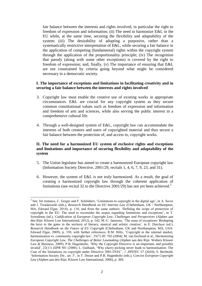fair balance between the interests and rights involved, in particular the right to freedom of expression and information; [\(ii\)](#page-2-1) The need to harmonize E&L in the EU while, at the same time, securing the flexibility and adaptability of the system; [\(iii\)](#page-4-0) The desirability of adopting a purposive, rather than a systematically restrictive interpretation of E&L, while securing a fair balance in the application of competing (fundamental) rights within the copyright system through the application of the proportionality principle; [\(iv\)](#page-6-0) The recognition that parody (along with some other exceptions) is covered by the right to freedom of expression; and, finally, [\(v\)](#page-7-0) The importance of ensuring that E&L are not constrained by criteria going beyond what might be considered necessary in a democratic society.

#### <span id="page-2-0"></span>**I. The importance of exceptions and limitations in facilitating creativity and in securing a fair balance between the interests and rights involved**

- 3. Copyright law must enable the creative use of existing works in appropriate circumstances. E&L are crucial for any copyright system as they secure common constitutional values such as freedom of expression and information and freedom of arts and sciences, while also serving the public interest in a comprehensive cultural life.
- 4. Through a well-designed system of E&L, copyright law can accommodate the interests of both creators and users of copyrighted material and thus secure a fair balance between the protection of, and access to, copyright works.

# <span id="page-2-1"></span>**II. The need for a harmonized EU system of exclusive rights and exceptions and limitations and importance of securing flexibility and adaptability of the system**

- 5. The Union legislator has aimed to create a harmonized European copyright law [\(Information Society Directive,](http://eur-lex.europa.eu/LexUriServ/LexUriServ.do?uri=CELEX:32001L0029:EN:HTML) 2001/29, recitals 1, 4, 6, 7, 9, 23, and 31).
- 6. However, the system of E&L is not truly harmonized. As a result, the goal of creating a harmonized copyright law through the coherent application of limitations (see recital 32 to the [Directive 2001/29\)](http://eur-lex.europa.eu/LexUriServ/LexUriServ.do?uri=CELEX:32001L0029:EN:HTML) has not yet been achieved.<sup>2</sup>

 $2^2$  See, for instance, C. Geiger and F. Schönherr, 'Limitations to copyright in the digital age', in A. Savin and J. Trzaskowski (eds.), *Research Handbook on EU Internet Law* (Cheltenham, UK / Northampton, MA, Edward Elgar, 2014), p. 110, and from the same authors: 'Defining the scope of protection of copyright in the EU: The need to reconsider the acquis regarding limitations and exceptions', in T. Synodinou (ed.), *Codification of European Copyright Law, Challenges and Perspectives* (Alphen aan den Rijn: Kluwer Law International, 2012), p. 142; M.-C. Janssens, 'The issue of exceptions: Reshaping the keys to the gates in the territory of literary, musical and artistic creation', in E. Derclaye (ed.), *Research Handbook on the Future of EU Copyright* (Cheltenham, UK and Northampton, MA, USA: Edward Elgar, 2009), p. 330, with further references; R.M. Hilty, 'Copyright in the internal market, harmonisation vs. community copyright law', 35(7) *IIC* 765 (2004); M. van Eechoud et al., *Harmonizing European Copyright Law, The Challenges of Better Lawmaking* (Alphen aan den Rijn: Wolters Kluwer Law & Business, 2009); P.B. Hugenholtz, 'Why the Copyright Directive is un-important, and possibly invalid', 22(11) *EIPR* 501 (2000); L. Guibault, 'Why cherry-picking never leads to harmonisation: The Case of the limitations on copyright under Directive 2001/29/EC', 1 *JIPITEC* 57 (2010); S. Bechtold, 'Information Society Dir., art. 5', in T. Dreier and P.B. Hugenholtz (eds.), *Concise European Copyright Law* (Alphen aan den Rijn: Kluwer Law International, 2006), p. 369.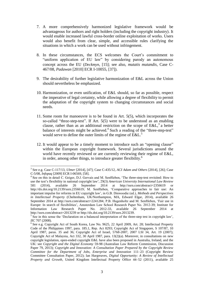- 7. A more comprehensively harmonized legislative framework would be advantageous for authors and right holders (including the copyright industry). It would enable increased lawful cross-border online exploitation of works. Users would also benefit from clear, simple, and accessible rules clarifying the situations in which a work can be used without infringement.
- 8. In these circumstances, the ECS welcomes the Court's commitment to "uniform application of EU law" by considering parody an autonomous concept across the EU (*[Deckmyn](http://curia.europa.eu/juris/liste.jsf?pro=&nat=or&oqp=&dates=&lg=&language=en&jur=C%2CT%2CF&cit=none%2CC%2CCJ%2CR%2C2008E%2C%2C%2C%2C%2C%2C%2C%2C%2C%2Ctrue%2Cfalse%2Cfalse&num=C-201%2F13&td=%3BALL&pcs=Oor&avg=&page=1&mat=or&jge=&for=&cid=31085)*, [15]; see also, *mutatis mutandis*, Case C-467/08, *[Padawan](http://curia.europa.eu/juris/document/document.jsf?text=&docid=83635&pageIndex=0&doclang=EN&mode=lst&dir=&occ=first&part=1&cid=126799)* [2010] ECR I-10055, [37]).
- 9. The desirability of further legislative harmonization of E&L across the Union should nevertheless be emphasized.
- 10. Harmonization, or even unification, of E&L should, so far as possible, respect the imperative of legal certainty, while allowing a degree of flexibility to permit the adaptation of the copyright system to changing circumstances and social needs.
- 11. Some room for manoeuvre is to be found in Art. 5(5), which incorporates the so-called "three-step-test". If Art. 5(5) were to be understood as an enabling clause, rather than as an additional restriction on the scope of  $E\&L$ , a better balance of interests might be achieved.<sup>4</sup> Such a reading of the "three-step-test" would serve to define the outer limits of the regime of  $E&L^5$ .
- 12. It would appear to be a timely moment to introduce such an "opening clause" within the European copyright framework. Several jurisdictions around the world have recently reviewed or are currently reviewing their regime of E&L, in order, among other things, to introduce greater flexibility. 6

 3 See e.g. Case C-117/13, *[Ulmer](http://curia.europa.eu/juris/document/document.jsf?text=&docid=157511&pageIndex=0&doclang=EN&mode=lst&dir=&occ=first&part=1&cid=136639)* [2014], [47]; Case C-435/12, *[ACI Adam and Others](http://curia.europa.eu/juris/liste.jsf?language=en&jur=C,T,F&num=C-435/12&td=ALL)* [2014], [26]; Case C-5/08, *[Infopaq](http://curia.europa.eu/juris/liste.jsf?language=en&jur=C,T,F&num=C-5/08&td=ALL)* [2009] ECR I-06569, [58].

<sup>&</sup>lt;sup>4</sup> See on this in detail C. Geiger, D.J. Gervais and M. Senftleben, 'The three-step-test revisited: How to use the test's flexibility in national copyright law', 29(3) *American University International Law Review* 581 (2014), available 26 September 2014 at <http://ssrn.com/abstract=2356619> or [http://dx.doi.org/10.2139/ssrn.2356619;](http://dx.doi.org/10.2139/ssrn.2356619) M. Senftleben, 'Comparative approaches to fair use: An important impulse for reforms in EU copyright law', in G.B. Dinwoodie (ed.), *Methods and Perspectives in Intellectual Property* (Cheltenham, UK/Northampton, MA, Edward Elgar, 2014), available 26 September 2014 at [http://ssrn.com/abstract=2241284;](http://ssrn.com/abstract=2241284) P.B. Hugenholtz and M. Senftleben, 'Fair use in Europe: In search of flexibilities', Amsterdam Law School Research Paper No. 2012-39; Institute for Information Law Research Paper No. 2012-33, available 26 September 2014 at <http://ssrn.com/abstract=2013239> o[r http://dx.doi.org/10.2139/ssrn.2013239.](http://dx.doi.org/10.2139/ssrn.2013239)

 $<sup>5</sup>$  See in this sense the 'Declaration on a balanced interpretation of the three-step test in copyright law',</sup> *IIC* 707 (2008).

<sup>&</sup>lt;sup>6</sup> See e.g. Copyright Act of South Korea, Law No. 9625, 22 April 2009, Art. 28; Intellectual Property Code of the Philippines 1997, para. 185.1, Rep. Act 8293; Copyright Act of Singapore, S 107/87, 10 April 1987, paras. 35 and 36; Copyright Act of Israel, 5768-2007, 2007 LSI 34, Art. 19 (2007); Copyright Act of Malaysia, Act 332, 30 April 1987, para. 13(2)(a). Moreover, in consultations on new copyright legislation, open-ended copyright E&L have also been proposed in Australia, Ireland, and the UK: see *Copyright and the Digital Economy* 59-98 (Australian Law Reform Commission, Discussion Paper 79, 2013); *Copyright and Innovation: A Consultation Paper Prepared by the Copyright Review Committee for the Department of Jobs, Enterprise and Innovation* 111–23 (Copyright Review Committee Consultation Paper, 2012); Ian Hargreaves, *Digital Opportunity: A Review of Intellectual Property and Growth*, United Kingdom Intellectual Property Office 44–52 (2011), available 25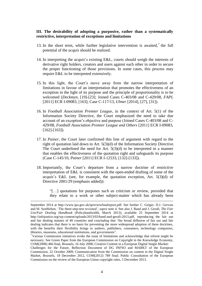#### <span id="page-4-0"></span>**III. The desirability of adopting a purposive, rather than a systematically restrictive, interpretation of exceptions and limitations**

- 13. In the short term, while further legislative intervention is awaited,<sup>7</sup> the full potential of the *acquis* should be realized.
- 14. In interpreting the *acquis*'s existing E&L, courts should weigh the interests of derivative right holders, creators and users against each other in order to secure the proper functioning of those provisions. In some cases, this process may require E&L to be interpreted extensively.
- 15. In this light, the Court's move away from the narrow interpretation of limitations in favour of an interpretation that promotes the effectiveness of an exception in the light of its purpose and the principle of proportionality is to be welcomed (*[Deckmyn](http://curia.europa.eu/juris/liste.jsf?pro=&nat=or&oqp=&dates=&lg=&language=en&jur=C%2CT%2CF&cit=none%2CC%2CCJ%2CR%2C2008E%2C%2C%2C%2C%2C%2C%2C%2C%2C%2Ctrue%2Cfalse%2Cfalse&num=C-201%2F13&td=%3BALL&pcs=Oor&avg=&page=1&mat=or&jge=&for=&cid=31085)*, [19]-[23]; Joined Cases C-403/08 and C-429/08, *[FAPL](http://curia.europa.eu/juris/liste.jsf?language=en&jur=C,T,F&num=C-403/08&td=ALL)* [2011] ECR I-09083, [163]; Case C-117/13, *[Ulmer](http://curia.europa.eu/juris/document/document.jsf?text=&docid=157511&pageIndex=0&doclang=EN&mode=lst&dir=&occ=first&part=1&cid=514977)* [2014], [27], [31]).
- 16. In *Football Association Premier League*, in the context of Art. 5(1) of the Information Society Directive, the Court emphasized the need to take due account of an exception's objective and purpose (Joined Cases C-403/08 and C-429/08, *[Football Association Premier League and Others](http://curia.europa.eu/juris/document/document.jsf?text=&docid=110361&pageIndex=0&doclang=EN&mode=lst&dir=&occ=first&part=1&cid=515284)* [2011] ECR I-09083,  $[162]$ - $[163]$ ).
- 17. In *Painer*, the Court later confirmed this line of argument with regard to the right of quotation laid down in Art. 5(3)(d) of the Information Society Directive. The Court underlined the need for Art.  $5(3)(d)$  to be interpreted in a manner that enables the effectiveness of the quotation right and safeguards its purpose (Case C-145/10, *[Painer](http://curia.europa.eu/juris/document/document.jsf?text=&docid=115785&pageIndex=0&doclang=EN&mode=lst&dir=&occ=first&part=1&cid=124442)* [2011] ECR I-12533, [132]-[133]).
- 18. Importantly, the Court's departure from a narrow doctrine of restrictive interpretation of E&L is consistent with the open-ended drafting of some of the *acquis*'s E&L (see, for example, the quotation exception, Art. 5(3)(d) of Directive 2001/29 (emphasis added)):

"[…] quotations for purposes *such as* criticism or review, provided that they relate to a work or other subject-matter which has already been

 $\overline{a}$ 

September 2014 at http://www.ipo.gov.uk/ipreviewfinalreport.pdf. See further C. Geiger, D.J. Gervais and M. Senftleben, 'The three-step-test revisited', *supra* note 4. See also J. Band and J. Gerafi, *The Fair Use/Fair Dealing Handbook* (Policybandwidth, March 2013), available 25 September 2014 at http://infojustice.org/wp-content/uploads/2013/03/band-and-gerafi-2013.pdf, reproducing the fair use and fair dealing statutes of 40 countries and concluding that "the broad diffusion of fair use and fair dealing indicates that there is no basis for preventing the more widespread adoption of these doctrines, with the benefits their flexibility brings to authors, publishers, consumers, technology companies, libraries, museums, educational institutions, and governments".

<sup>7</sup> Various Commission initiatives evoke the issue of limitations and acknowledge that reform might be necessary. See Green Paper from the European Commission on Copyright in the Knowledge Economy, COM(2008) 466 final, Brussels, 16 July 2008; Creative Content in a European Digital Single Market:

Challenges for the Future, Reflection Document of DG INFSO and MARKT of the European Commission, 22 October 2009; Communication from the Commission on content in the Digital Single Market, Brussels, 18 December 2012, COM(2012) 789 final; Public Consultation of the European Commission on the review of the European Union copyright rules, 5 December 2013.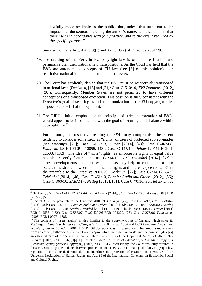lawfully made available to the public, that, unless this turns out to be impossible, the source, including the author's name, is indicated, and that their use is *in accordance with fair practice, and to the extent required by the specific purpose*."

See also, to that effect, Art. 5(3)(f) and Art. 5(3)(a) of [Directive 2001/29.](http://eur-lex.europa.eu/LexUriServ/LexUriServ.do?uri=CELEX:32001L0029:EN:HTML)

- 19. The drafting of the E&L in EU copyright law is often more flexible and permissive than their national law transpositions. As the Court has held that the E&L are autonomous concepts of EU law (see [\[6\]](#page-2-1) of this opinion) such restrictive national implementation should be reviewed.
- 20. The Court has explicitly denied that the E&L must be restrictively transposed in national laws (*[Deckmyn](http://curia.europa.eu/juris/document/document.jsf?text=&docid=157281&pageIndex=0&doclang=EN&mode=lst&dir=&occ=first&part=1&cid=514977)*, [16] and [24]; Case C-510/10, *[TV2 Danmark](http://curia.europa.eu/juris/document/document.jsf?text=&docid=122167&pageIndex=0&doclang=en&mode=lst&dir=&occ=first&part=1&cid=113740)* [2012], [36]). Consequently, Member States are not permitted to have different conceptions of a transposed exception. This position is fully consistent with the Directive's goal of securing as full a harmonization of the EU copyright rules as possible (see [\[5\]](#page-2-1) of this opinion).
- 21. The CJEU's initial emphasis on the principle of strict interpretation of  $E\&L^8$ would appear to be incompatible with the goal of securing a fair balance within copyright law.<sup>9</sup>
- 22. Furthermore, the restrictive reading of E&L may compromise the recent tendency to consider some E&L as "rights" of users of protected subject-matter (see *[Deckmyn](http://curia.europa.eu/juris/document/document.jsf?text=&docid=157281&pageIndex=0&doclang=EN&mode=lst&dir=&occ=first&part=1&cid=514977)*, [26]; Case C-117/13, *[Ulmer](http://curia.europa.eu/juris/document/document.jsf?text=&docid=157511&pageIndex=0&doclang=EN&mode=lst&dir=&occ=first&part=1&cid=136639)* [2014], [43]; Case C-467/08, *[Padawan](http://curia.europa.eu/juris/document/document.jsf?text=&docid=83635&pageIndex=0&doclang=EN&mode=lst&dir=&occ=first&part=1&cid=126799)* [2010] ECR I-10055, [43]; Case C-145/10, *[Painer](http://curia.europa.eu/juris/document/document.jsf?text=&docid=115785&pageIndex=0&doclang=EN&mode=lst&dir=&occ=first&part=1&cid=124442)* [2011] ECR I-12533, [132]). The idea of "users' rights" as enforceable rights of equal value has also recently featured in Case C-314/12, *[UPC Telekabel](http://curia.europa.eu/juris/liste.jsf?language=en&jur=C,T,F&num=C-314/12&td=ALL)* [2014], [57].<sup>10</sup> These developments are to be welcomed as they help to ensure that a "fair balance" is struck between the applicable rights and interests (see recital 31 in the preamble to the Directive 2001/29; *[Deckmyn](http://curia.europa.eu/juris/document/document.jsf?text=&docid=157281&pageIndex=0&doclang=EN&mode=lst&dir=&occ=first&part=1&cid=514977)*, [27]; Case C-314/12, *[UPC](http://curia.europa.eu/juris/liste.jsf?language=en&jur=C,T,F&num=C-314/12&td=ALL)  [Telekabel](http://curia.europa.eu/juris/liste.jsf?language=en&jur=C,T,F&num=C-314/12&td=ALL)* [2014], [46]; Case C-461/10, *[Bonnier Audio and Others](http://curia.europa.eu/juris/document/document.jsf?text=&docid=121743&pageIndex=0&doclang=EN&mode=lst&dir=&occ=first&part=1&cid=124442)* [2012], [56]; Case C-360/10, *[SABAM v. Netlog](http://curia.europa.eu/juris/liste.jsf?language=en&jur=C,T,F&num=C-360/10&td=ALL)* [2012], [51]; Case C-70/10, *[Scarlet Extended](http://curia.europa.eu/juris/liste.jsf?language=en&jur=C,T,F&num=C-70/10&td=ALL)*

<sup>8</sup> *[Deckmyn](http://curia.europa.eu/juris/document/document.jsf?text=&docid=157281&pageIndex=0&doclang=EN&mode=lst&dir=&occ=first&part=1&cid=514977)*, [22]; Case C-435/12, *[ACI Adam and Others](http://curia.europa.eu/juris/liste.jsf?language=en&jur=C,T,F&num=C-435/12&td=ALL)* [2014], [23]; Case C-5/08, *[Infopaq](http://curia.europa.eu/juris/liste.jsf?language=en&jur=C,T,F&num=C-5/08&td=ALL)* [2009] ECR I-06569, [56].

<sup>9</sup> Recital 31 in the preamble to the Directive 2001/29; *[Deckmyn](http://curia.europa.eu/juris/document/document.jsf?text=&docid=157281&pageIndex=0&doclang=EN&mode=lst&dir=&occ=first&part=1&cid=514977)*, [27]; Case C-314/12, *[UPC Telekabel](http://curia.europa.eu/juris/liste.jsf?language=en&jur=C,T,F&num=C-314/12&td=ALL)* [2014], [46]; Case C-461/10, *[Bonnier Audio and Others](http://curia.europa.eu/juris/document/document.jsf?text=&docid=121743&pageIndex=0&doclang=EN&mode=lst&dir=&occ=first&part=1&cid=124442)* [2012], [56]; Case C-360/10, *[SABAM v. Netlog](http://curia.europa.eu/juris/liste.jsf?language=en&jur=C,T,F&num=C-360/10&td=ALL)* [2012], [51]; Case C-70/10, *[Scarlet Extended](http://curia.europa.eu/juris/liste.jsf?language=en&jur=C,T,F&num=C-70/10&td=ALL)* [2011] ECR I-11959, [53]; Case C-145/10, *[Painer](http://curia.europa.eu/juris/document/document.jsf?text=&docid=115785&pageIndex=0&doclang=EN&mode=lst&dir=&occ=first&part=1&cid=124442)* [2011] ECR I-12533, [132]; Case C-557/07, *[Tele2](http://curia.europa.eu/juris/document/document.jsf?text=&docid=77489&pageIndex=0&doclang=EN&mode=lst&dir=&occ=first&part=1&cid=124442)* [2009] ECR I-01227, [28]; Case C-275/06, *[Promusicae](http://curia.europa.eu/juris/document/document.jsf?text=&docid=70107&pageIndex=0&doclang=EN&mode=lst&dir=&occ=first&part=1&cid=124442)* [2008] ECR I-00271, [68].

<sup>&</sup>lt;sup>10</sup> The concept of "users' rights" is also familiar to the Supreme Court of Canada, which since its *Théberge v. Galerie d'Art du Petit Champlain Inc.*, [2002] 2 SCR 336 and *CCH Canadian Ltd. v. Law Society of Upper Canada*, [2004] 1 SCR 339 decisions was increasingly emphasizing "a move away from an earlier, author-centric view" towards "promoting the public interest" and the "users' rights [as] an essential part of furthering the public interest objectives of the Copyright Act": *SOCAN v. Bell Canada*, [2012] 2 SCR 326, [9]-[11]. See also *Alberta (Minister of Education) v. Canadian Copyright Licensing Agency (Access Copyright)*, [2012] 2 SCR 345. Interestingly, the Court explicitly referred in these cases to the proper balance between protection and access as an ultimate goal of any copyright law regulation – the same dual rationale that underlines the protection of creators under Art. 27 of the Universal Declaration of Human Rights and Art. 15 of the International Covenant on Economic, Social and Cultural Rights.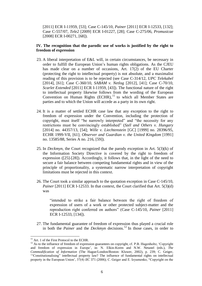[2011] ECR I-11959, [53]; Case C-145/10, *[Painer](http://curia.europa.eu/juris/document/document.jsf?text=&docid=115785&pageIndex=0&doclang=EN&mode=lst&dir=&occ=first&part=1&cid=124442)* [2011] ECR I-12533, [132]; Case C-557/07, *[Tele2](http://curia.europa.eu/juris/document/document.jsf?text=&docid=77489&pageIndex=0&doclang=EN&mode=lst&dir=&occ=first&part=1&cid=124442)* [2009] ECR I-01227, [28]; Case C-275/06, *[Promusicae](http://curia.europa.eu/juris/document/document.jsf?text=&docid=70107&pageIndex=0&doclang=EN&mode=lst&dir=&occ=first&part=1&cid=124442)* [2008] ECR I-00271, [68]).

## <span id="page-6-0"></span>**IV. The recognition that the parodic use of works is justified by the right to freedom of expression**

- 23. A liberal interpretation of E&L will, in certain circumstances, be necessary in order to fulfill the European Union's human rights obligations. As the CJEU has made clear on a number of occasions, Art. 17(2) of the [EU Charter](http://www.europarl.europa.eu/charter/pdf/text_en.pdf) (protecting the right to intellectual property) is not absolute, and a maximalist reading of this provision is to be rejected (see Case C-314/12, *[UPC Telekabel](http://curia.europa.eu/juris/liste.jsf?language=en&jur=C,T,F&num=C-314/12&td=ALL)* [2014], [61]; Case C-360/10, *[SABAM v. Netlog](http://curia.europa.eu/juris/liste.jsf?language=en&jur=C,T,F&num=C-360/10&td=ALL)* [2012], [41]; Case C-70/10, *[Scarlet Extended](http://curia.europa.eu/juris/liste.jsf?language=en&jur=C,T,F&num=C-70/10&td=ALL)* [2011] ECR I-11959, [43]). The functional nature of the right to intellectual property likewise follows from the wording of the [European](http://www.echr.coe.int/Documents/Convention_ENG.pdf)  [Convention on Human Rights](http://www.echr.coe.int/Documents/Convention_ENG.pdf)  $(ECHR)$ ,  $^{11}$  to which all Member States are parties and to which the Union will accede as a party in its own right.
- 24. It is a matter of settled ECHR case law that any exception to the right to freedom of expression under the Convention, including the protection of copyright, must itself "be narrowly interpreted" and "the necessity for any restrictions must be convincingly established" (*[Szél and Others v. Hungary](http://hudoc.echr.coe.int/sites/eng/pages/search.aspx?i=001-146385)* [2014] no. 44357/13, [54]; *[Wille v. Liechtenstein](http://hudoc.echr.coe.int/sites/eng/pages/search.aspx?i=001-58338)* [GC] [1999] no. 28396/95, ECHR 1999-VII, [61]; *[Observer and Guardian v. the United Kingdom](http://hudoc.echr.coe.int/sites/eng/pages/search.aspx?i=001-57705)* [1991] no. 13585/88, Series A no. 216, [59]).
- 25. In *[Deckmyn](http://curia.europa.eu/juris/document/document.jsf?text=&docid=157281&pageIndex=0&doclang=EN&mode=lst&dir=&occ=first&part=1&cid=514977)*, the Court recognized that the parody exception in Art. 5(3)(k) of the Information Society Directive is covered by the right to freedom of expression ([25]-[28]). Accordingly, it follows that, in the light of the need to secure a fair balance between competing fundamental rights and in view of the principle of proportionality, a systematic narrow interpretation of copyright limitations must be rejected in this context.
- 26. The Court took a similar approach to the quotation exception in Case C-145/10, *[Painer](http://curia.europa.eu/juris/document/document.jsf?text=&docid=115785&pageIndex=0&doclang=EN&mode=lst&dir=&occ=first&part=1&cid=124442)* [2011] ECR I-12533. In that context, the Court clarified that Art. 5(3)(d) was

"intended to strike a fair balance between the right of freedom of expression of users of a work or other protected subject-matter and the reproduction right conferred on authors" (Case C-145/10, *[Painer](http://curia.europa.eu/juris/document/document.jsf?text=&docid=115785&pageIndex=0&doclang=EN&mode=lst&dir=&occ=first&part=1&cid=124442)* [2011] ECR I-12533, [134]).

27. The fundamental guarantee of freedom of expression thus played a crucial role in both the *Painer* and the *Deckmyn* decisions. <sup>12</sup> In those cases, in order to

 $11$  Art. 1 of the First Protocol to the ECHR.

<sup>&</sup>lt;sup>12</sup> As to the influence of freedom of expression guarantees on copyright, cf. P.B. Hugenholtz, 'Copyright and freedom of expression in Europe', in: N. Elkin-Koren and N.W. Netanel (eds.), *The Commodification of Information* (The Hague/London/Boston: Kluwer, 2002), p. 239; C. Geiger, '"Constitutionalising" intellectual property law? The influence of fundamental rights on intellectual property in the European Union', 37(4) *IIC* 371 (2006); C. Geiger and E. Izyumenko, "Copyright on the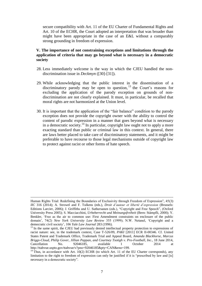secure compatibility with Art. 11 of the EU Charter of Fundamental Rights and Art. 10 of the ECHR, the Court adopted an interpretation that was broader than might have been appropriate in the case of an E&L without a comparably strong grounding in freedom of expression.

# <span id="page-7-0"></span>**V. The importance of not constraining exceptions and limitations through the application of criteria that may go beyond what is necessary in a democratic society**

- 28. Less immediately welcome is the way in which the CJEU handled the nondiscrimination issue in *[Deckmyn](http://curia.europa.eu/juris/document/document.jsf?text=&docid=157281&pageIndex=0&doclang=EN&mode=lst&dir=&occ=first&part=1&cid=514977)* ([30]-[31]).
- 29. While acknowledging that the public interest in the dissemination of a discriminatory parody may be open to question,  $13$  the Court's reasons for excluding the application of the parody exception on grounds of nondiscrimination are not clearly explained. It must, in particular, be recalled that moral rights are not harmonized at the Union level.
- 30. It is important that the application of the "fair balance" condition to the parody exception does not provide the copyright owner with the ability to control the content of parodic expression in a manner that goes beyond what is necessary in a democratic society.<sup>14</sup> In particular, copyright law ought not to apply a more exacting standard than public or criminal law in this context. In general, there are laws better placed to take care of discriminatory statements, and it might be preferable to have recourse to those legal mechanisms outside of copyright law to protect against racist or other forms of hate speech.

Human Rights Trial: Redefining the Boundaries of Exclusivity through Freedom of Expression", 45(3) *IIC* 316 (2014); A. Strowel and F. Tulkens (eds.), *Droit d'auteur et liberté d'expression* (Brussels: Editions Larcier, 2006); J. Griffiths and U. Suthersanen (eds.), "Copyright and Free Speech", (Oxford University Press 2005); S. Macciacchini, *Urheberrecht und Meinungsfreiheit* (Bern: Stämpfli, 2000); Y. Benkler, 'Free as the air to common use: First Amendment constraints on enclosure of the public domain', 74(2) *New York University Law Review* 355 (1999); N.W. Netanel, 'Copyright and a democratic civil society', 106 *Yale Law Journal* 283 (1996).

<sup>&</sup>lt;sup>13</sup> In the same spirit, the CJEU had previously denied intellectual property protection to expressions of racist nature: see, in the trademark context, Case T-526/09, *[PAKI](http://curia.europa.eu/juris/liste.jsf?language=en&jur=C,T,F&num=T-526/09&td=ALL)* [2011] ECR II-00346. Cf. United States Patent and Trademark Office, Trademark Trial and Appeal Board, *Amanda Blackhorse, Marcus Briggs-Cloud, Philip Gover, Jillian Pappan, and Courtney Tsotigh v. Pro-Football, Inc.*, 18 June 2014, Cancellation No. 92046185, available 1 October 2014 at http://ttabvue.uspto.gov/ttabvue/v?pno=92046185&pty=CAN&eno=199.

 $14$  Thus, in accordance with Art. 10(2) ECHR (to which Art. 11 of the EU Charter corresponds), any limitation to the right to freedom of expression can only be justified if it is "prescribed by law and [is] necessary in a democratic society".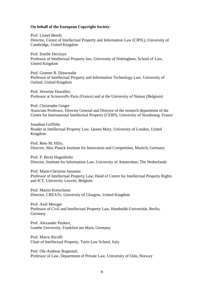#### **On behalf of the European Copyright Society:**

Prof. Lionel Bently Director, Centre of Intellectual Property and Information Law (CIPIL), University of Cambridge, United Kingdom

Prof. Estelle Derclaye Professor of Intellectual Property law, University of Nottingham, School of Law, United Kingdom

Prof. Graeme B. Dinwoodie Professor of Intellectual Property and Information Technology Law, University of Oxford, United Kingdom

Prof. Séverine Dusollier, Professor at SciencesPo Paris (France) and at the University of Namur (Belgium)

Prof. Christophe Geiger Associate Professor, Director General and Director of the research department of the Centre for International Intellectual Property (CEIPI), University of Strasbourg, France

Jonathan Griffiths Reader in Intellectual Property Law, Queen Mary, University of London, United Kingdom

Prof. Reto M. Hilty, Director, Max Planck Institute for Innovation and Competition, Munich, Germany

Prof. P. Bernt Hugenholtz Director, Institute for Information Law, University of Amsterdam, The Netherlands

Prof. Marie-Christine Janssens Professor of Intellectual Property Law; Head of Centre for Intellectual Property Rights and ICT, University Leuven, Belgium

Prof. Martin Kretschmer Director, CREATe, University of Glasgow, United Kingdom

Prof. Axel Metzger Professor of Civil and Intellectual Property Law, Humboldt-Universität, Berlin, Germany

Prof. Alexander Peukert, Goethe University, Frankfurt am Main, Germany

Prof. Marco Ricolfi Chair of Intellectual Property, Turin Law School, Italy

Prof. Ole-Andreas Rognstad, Professor of Law, Department of Private Law, University of Oslo, Norway